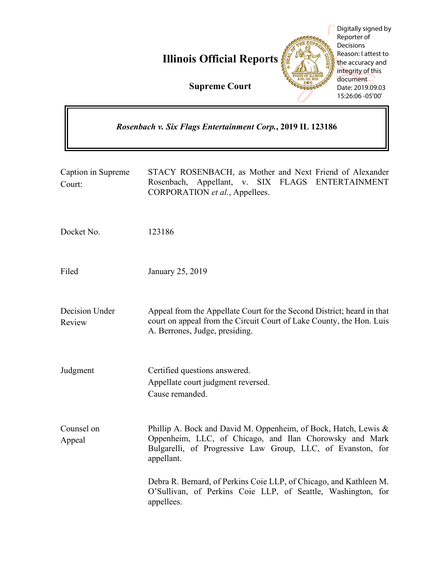|                                                            | Digitally signed by<br>Reporter of<br>Decisions<br>Reason: I attest to<br><b>Illinois Official Reports</b><br>the accuracy and<br>integrity of this<br>document<br><b>Supreme Court</b><br>Date: 2019.09.03<br>15:26:06 -05'00' |
|------------------------------------------------------------|---------------------------------------------------------------------------------------------------------------------------------------------------------------------------------------------------------------------------------|
| Rosenbach v. Six Flags Entertainment Corp., 2019 IL 123186 |                                                                                                                                                                                                                                 |
| Caption in Supreme<br>Court:                               | STACY ROSENBACH, as Mother and Next Friend of Alexander<br>Appellant, v. SIX FLAGS ENTERTAINMENT<br>Rosenbach,<br>CORPORATION et al., Appellees.                                                                                |
| Docket No.                                                 | 123186                                                                                                                                                                                                                          |
| Filed                                                      | January 25, 2019                                                                                                                                                                                                                |
| Decision Under<br>Review                                   | Appeal from the Appellate Court for the Second District; heard in that<br>court on appeal from the Circuit Court of Lake County, the Hon. Luis<br>A. Berrones, Judge, presiding.                                                |
| Judgment                                                   | Certified questions answered.<br>Appellate court judgment reversed.<br>Cause remanded.                                                                                                                                          |
| Counsel on<br>Appeal                                       | Phillip A. Bock and David M. Oppenheim, of Bock, Hatch, Lewis &<br>Oppenheim, LLC, of Chicago, and Ilan Chorowsky and Mark<br>Bulgarelli, of Progressive Law Group, LLC, of Evanston, for<br>appellant.                         |
|                                                            | Debra R. Bernard, of Perkins Coie LLP, of Chicago, and Kathleen M.<br>O'Sullivan, of Perkins Coie LLP, of Seattle, Washington, for<br>appellees.                                                                                |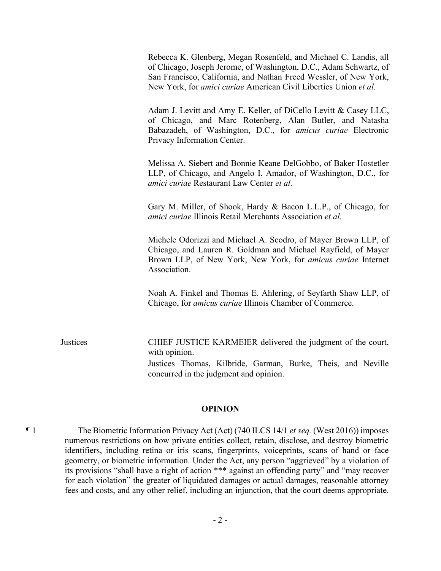Rebecca K. Glenberg, Megan Rosenfeld, and Michael C. Landis, all of Chicago, Joseph Jerome, of Washington, D.C., Adam Schwartz, of San Francisco, California, and Nathan Freed Wessler, of New York, New York, for *amici curiae* American Civil Liberties Union *et al.*

Adam J. Levitt and Amy E. Keller, of DiCello Levitt & Casey LLC, of Chicago, and Marc Rotenberg, Alan Butler, and Natasha Babazadeh, of Washington, D.C., for *amicus curiae* Electronic Privacy Information Center.

Melissa A. Siebert and Bonnie Keane DelGobbo, of Baker Hostetler LLP, of Chicago, and Angelo I. Amador, of Washington, D.C., for *amici curiae* Restaurant Law Center *et al.*

Gary M. Miller, of Shook, Hardy & Bacon L.L.P., of Chicago, for *amici curiae* Illinois Retail Merchants Association *et al.*

Michele Odorizzi and Michael A. Scodro, of Mayer Brown LLP, of Chicago, and Lauren R. Goldman and Michael Rayfield, of Mayer Brown LLP, of New York, New York, for *amicus curiae* Internet Association.

Noah A. Finkel and Thomas E. Ahlering, of Seyfarth Shaw LLP, of Chicago, for *amicus curiae* Illinois Chamber of Commerce.

Justices CHIEF JUSTICE KARMEIER delivered the judgment of the court, with opinion. Justices Thomas, Kilbride, Garman, Burke, Theis, and Neville concurred in the judgment and opinion.

## **OPINION**

¶ 1 The Biometric Information Privacy Act (Act) (740 ILCS 14/1 *et seq.* (West 2016)) imposes numerous restrictions on how private entities collect, retain, disclose, and destroy biometric identifiers, including retina or iris scans, fingerprints, voiceprints, scans of hand or face geometry, or biometric information. Under the Act, any person "aggrieved" by a violation of its provisions "shall have a right of action \*\*\* against an offending party" and "may recover for each violation" the greater of liquidated damages or actual damages, reasonable attorney fees and costs, and any other relief, including an injunction, that the court deems appropriate.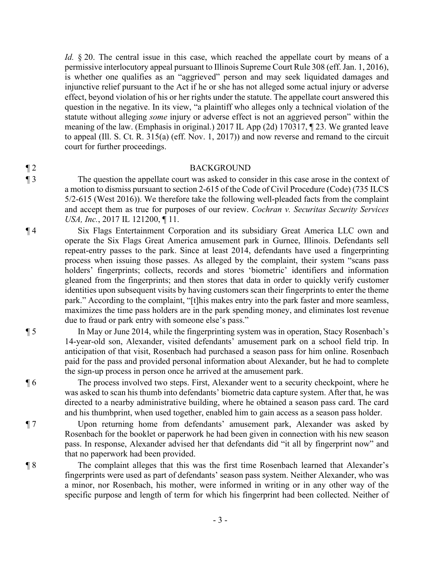*Id.* § 20. The central issue in this case, which reached the appellate court by means of a permissive interlocutory appeal pursuant to Illinois Supreme Court Rule 308 (eff. Jan. 1, 2016), is whether one qualifies as an "aggrieved" person and may seek liquidated damages and injunctive relief pursuant to the Act if he or she has not alleged some actual injury or adverse effect, beyond violation of his or her rights under the statute. The appellate court answered this question in the negative. In its view, "a plaintiff who alleges only a technical violation of the statute without alleging *some* injury or adverse effect is not an aggrieved person" within the meaning of the law. (Emphasis in original.) 2017 IL App (2d) 170317, ¶ 23. We granted leave to appeal (Ill. S. Ct. R. 315(a) (eff. Nov. 1, 2017)) and now reverse and remand to the circuit court for further proceedings.

## ¶ 2 BACKGROUND

¶ 3 The question the appellate court was asked to consider in this case arose in the context of a motion to dismiss pursuant to section 2-615 of the Code of Civil Procedure (Code) (735 ILCS 5/2-615 (West 2016)). We therefore take the following well-pleaded facts from the complaint and accept them as true for purposes of our review. *Cochran v. Securitas Security Services USA, Inc.*, 2017 IL 121200, 11.

¶ 4 Six Flags Entertainment Corporation and its subsidiary Great America LLC own and operate the Six Flags Great America amusement park in Gurnee, Illinois. Defendants sell repeat-entry passes to the park. Since at least 2014, defendants have used a fingerprinting process when issuing those passes. As alleged by the complaint, their system "scans pass holders' fingerprints; collects, records and stores 'biometric' identifiers and information gleaned from the fingerprints; and then stores that data in order to quickly verify customer identities upon subsequent visits by having customers scan their fingerprints to enter the theme park." According to the complaint, "[t]his makes entry into the park faster and more seamless, maximizes the time pass holders are in the park spending money, and eliminates lost revenue due to fraud or park entry with someone else's pass."

¶ 5 In May or June 2014, while the fingerprinting system was in operation, Stacy Rosenbach's 14-year-old son, Alexander, visited defendants' amusement park on a school field trip. In anticipation of that visit, Rosenbach had purchased a season pass for him online. Rosenbach paid for the pass and provided personal information about Alexander, but he had to complete the sign-up process in person once he arrived at the amusement park.

¶ 6 The process involved two steps. First, Alexander went to a security checkpoint, where he was asked to scan his thumb into defendants' biometric data capture system. After that, he was directed to a nearby administrative building, where he obtained a season pass card. The card and his thumbprint, when used together, enabled him to gain access as a season pass holder.

¶ 7 Upon returning home from defendants' amusement park, Alexander was asked by Rosenbach for the booklet or paperwork he had been given in connection with his new season pass. In response, Alexander advised her that defendants did "it all by fingerprint now" and that no paperwork had been provided.

¶ 8 The complaint alleges that this was the first time Rosenbach learned that Alexander's fingerprints were used as part of defendants' season pass system. Neither Alexander, who was a minor, nor Rosenbach, his mother, were informed in writing or in any other way of the specific purpose and length of term for which his fingerprint had been collected. Neither of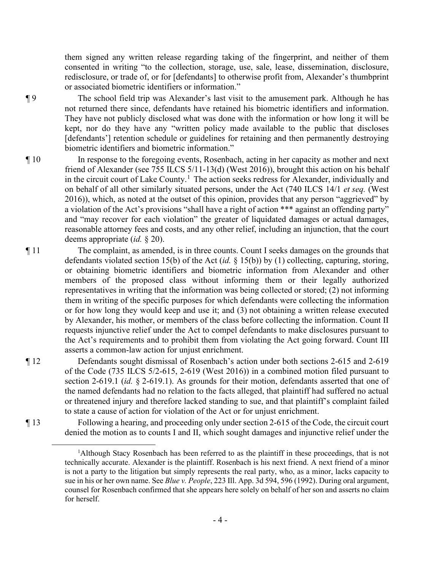them signed any written release regarding taking of the fingerprint, and neither of them consented in writing "to the collection, storage, use, sale, lease, dissemination, disclosure, redisclosure, or trade of, or for [defendants] to otherwise profit from, Alexander's thumbprint or associated biometric identifiers or information."

¶ 9 The school field trip was Alexander's last visit to the amusement park. Although he has not returned there since, defendants have retained his biometric identifiers and information. They have not publicly disclosed what was done with the information or how long it will be kept, nor do they have any "written policy made available to the public that discloses [defendants'] retention schedule or guidelines for retaining and then permanently destroying biometric identifiers and biometric information."

- ¶ 10 In response to the foregoing events, Rosenbach, acting in her capacity as mother and next friend of Alexander (see 755 ILCS 5/11-13(d) (West 2016)), brought this action on his behalf in the circuit court of Lake County.<sup>1</sup> The action seeks redress for Alexander, individually and on behalf of all other similarly situated persons, under the Act (740 ILCS 14/1 *et seq.* (West 2016)), which, as noted at the outset of this opinion, provides that any person "aggrieved" by a violation of the Act's provisions "shall have a right of action \*\*\* against an offending party" and "may recover for each violation" the greater of liquidated damages or actual damages, reasonable attorney fees and costs, and any other relief, including an injunction, that the court deems appropriate (*id.* § 20).
- ¶ 11 The complaint, as amended, is in three counts. Count I seeks damages on the grounds that defendants violated section 15(b) of the Act (*id.* § 15(b)) by (1) collecting, capturing, storing, or obtaining biometric identifiers and biometric information from Alexander and other members of the proposed class without informing them or their legally authorized representatives in writing that the information was being collected or stored; (2) not informing them in writing of the specific purposes for which defendants were collecting the information or for how long they would keep and use it; and (3) not obtaining a written release executed by Alexander, his mother, or members of the class before collecting the information. Count II requests injunctive relief under the Act to compel defendants to make disclosures pursuant to the Act's requirements and to prohibit them from violating the Act going forward. Count III asserts a common-law action for unjust enrichment.
- 

¶ 12 Defendants sought dismissal of Rosenbach's action under both sections 2-615 and 2-619 of the Code (735 ILCS 5/2-615, 2-619 (West 2016)) in a combined motion filed pursuant to section 2-619.1 (*id.* § 2-619.1). As grounds for their motion, defendants asserted that one of the named defendants had no relation to the facts alleged, that plaintiff had suffered no actual or threatened injury and therefore lacked standing to sue, and that plaintiff's complaint failed to state a cause of action for violation of the Act or for unjust enrichment.

¶ 13 Following a hearing, and proceeding only under section 2-615 of the Code, the circuit court denied the motion as to counts I and II, which sought damages and injunctive relief under the

<sup>&</sup>lt;sup>1</sup>Although Stacy Rosenbach has been referred to as the plaintiff in these proceedings, that is not technically accurate. Alexander is the plaintiff. Rosenbach is his next friend. A next friend of a minor is not a party to the litigation but simply represents the real party, who, as a minor, lacks capacity to sue in his or her own name. See *Blue v. People*, 223 Ill. App. 3d 594, 596 (1992). During oral argument, counsel for Rosenbach confirmed that she appears here solely on behalf of her son and asserts no claim for herself.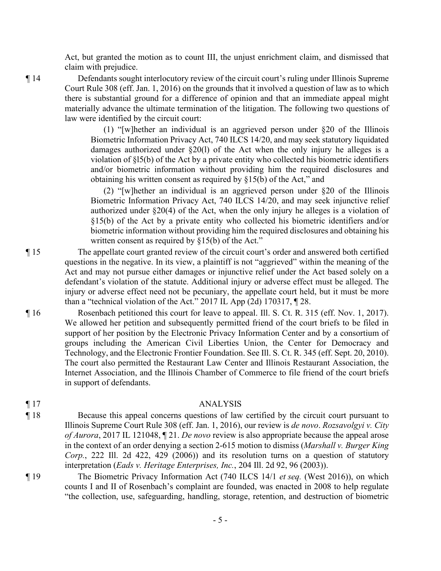Act, but granted the motion as to count III, the unjust enrichment claim, and dismissed that claim with prejudice.

¶ 14 Defendants sought interlocutory review of the circuit court's ruling under Illinois Supreme Court Rule 308 (eff. Jan. 1, 2016) on the grounds that it involved a question of law as to which there is substantial ground for a difference of opinion and that an immediate appeal might materially advance the ultimate termination of the litigation. The following two questions of law were identified by the circuit court:

> (1) "[w]hether an individual is an aggrieved person under §20 of the Illinois Biometric Information Privacy Act, 740 ILCS 14/20, and may seek statutory liquidated damages authorized under §20(l) of the Act when the only injury he alleges is a violation of §l5(b) of the Act by a private entity who collected his biometric identifiers and/or biometric information without providing him the required disclosures and obtaining his written consent as required by §15(b) of the Act," and

> (2) "[w]hether an individual is an aggrieved person under §20 of the Illinois Biometric Information Privacy Act, 740 ILCS 14/20, and may seek injunctive relief authorized under §20(4) of the Act, when the only injury he alleges is a violation of §15(b) of the Act by a private entity who collected his biometric identifiers and/or biometric information without providing him the required disclosures and obtaining his written consent as required by §15(b) of the Act."

¶ 15 The appellate court granted review of the circuit court's order and answered both certified questions in the negative. In its view, a plaintiff is not "aggrieved" within the meaning of the Act and may not pursue either damages or injunctive relief under the Act based solely on a defendant's violation of the statute. Additional injury or adverse effect must be alleged. The injury or adverse effect need not be pecuniary, the appellate court held, but it must be more than a "technical violation of the Act." 2017 IL App (2d) 170317, ¶ 28.

¶ 16 Rosenbach petitioned this court for leave to appeal. Ill. S. Ct. R. 315 (eff. Nov. 1, 2017). We allowed her petition and subsequently permitted friend of the court briefs to be filed in support of her position by the Electronic Privacy Information Center and by a consortium of groups including the American Civil Liberties Union, the Center for Democracy and Technology, and the Electronic Frontier Foundation. See Ill. S. Ct. R. 345 (eff. Sept. 20, 2010). The court also permitted the Restaurant Law Center and Illinois Restaurant Association, the Internet Association, and the Illinois Chamber of Commerce to file friend of the court briefs in support of defendants.

## ¶ 17 ANALYSIS

- ¶ 18 Because this appeal concerns questions of law certified by the circuit court pursuant to Illinois Supreme Court Rule 308 (eff. Jan. 1, 2016), our review is *de novo*. *Rozsavolgyi v. City of Aurora*, 2017 IL 121048, ¶ 21. *De novo* review is also appropriate because the appeal arose in the context of an order denying a section 2-615 motion to dismiss (*Marshall v. Burger King Corp.*, 222 Ill. 2d 422, 429 (2006)) and its resolution turns on a question of statutory interpretation (*Eads v. Heritage Enterprises, Inc.*, 204 Ill. 2d 92, 96 (2003)).
- ¶ 19 The Biometric Privacy Information Act (740 ILCS 14/1 *et seq.* (West 2016)), on which counts I and II of Rosenbach's complaint are founded, was enacted in 2008 to help regulate "the collection, use, safeguarding, handling, storage, retention, and destruction of biometric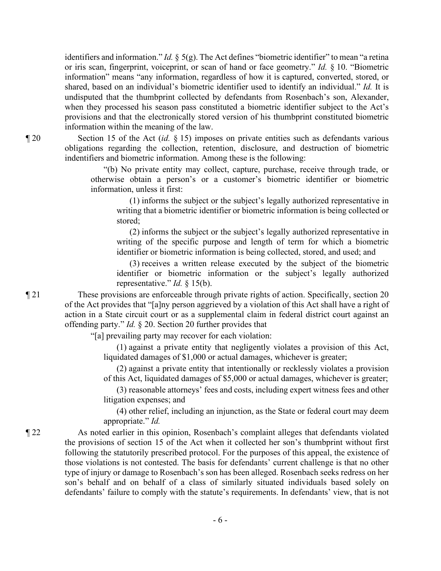identifiers and information." *Id.* § 5(g). The Act defines "biometric identifier" to mean "a retina or iris scan, fingerprint, voiceprint, or scan of hand or face geometry." *Id.* § 10. "Biometric information" means "any information, regardless of how it is captured, converted, stored, or shared, based on an individual's biometric identifier used to identify an individual." *Id.* It is undisputed that the thumbprint collected by defendants from Rosenbach's son, Alexander, when they processed his season pass constituted a biometric identifier subject to the Act's provisions and that the electronically stored version of his thumbprint constituted biometric information within the meaning of the law.

¶ 20 Section 15 of the Act (*id.* § 15) imposes on private entities such as defendants various obligations regarding the collection, retention, disclosure, and destruction of biometric indentifiers and biometric information. Among these is the following:

> "(b) No private entity may collect, capture, purchase, receive through trade, or otherwise obtain a person's or a customer's biometric identifier or biometric information, unless it first:

(1) informs the subject or the subject's legally authorized representative in writing that a biometric identifier or biometric information is being collected or stored;

(2) informs the subject or the subject's legally authorized representative in writing of the specific purpose and length of term for which a biometric identifier or biometric information is being collected, stored, and used; and

(3) receives a written release executed by the subject of the biometric identifier or biometric information or the subject's legally authorized representative." *Id.* § 15(b).

¶ 21 These provisions are enforceable through private rights of action. Specifically, section 20 of the Act provides that "[a]ny person aggrieved by a violation of this Act shall have a right of action in a State circuit court or as a supplemental claim in federal district court against an offending party." *Id.* § 20. Section 20 further provides that

"[a] prevailing party may recover for each violation:

(1) against a private entity that negligently violates a provision of this Act, liquidated damages of \$1,000 or actual damages, whichever is greater;

(2) against a private entity that intentionally or recklessly violates a provision of this Act, liquidated damages of \$5,000 or actual damages, whichever is greater;

(3) reasonable attorneys' fees and costs, including expert witness fees and other litigation expenses; and

(4) other relief, including an injunction, as the State or federal court may deem appropriate." *Id.*

¶ 22 As noted earlier in this opinion, Rosenbach's complaint alleges that defendants violated the provisions of section 15 of the Act when it collected her son's thumbprint without first following the statutorily prescribed protocol. For the purposes of this appeal, the existence of those violations is not contested. The basis for defendants' current challenge is that no other type of injury or damage to Rosenbach's son has been alleged. Rosenbach seeks redress on her son's behalf and on behalf of a class of similarly situated individuals based solely on defendants' failure to comply with the statute's requirements. In defendants' view, that is not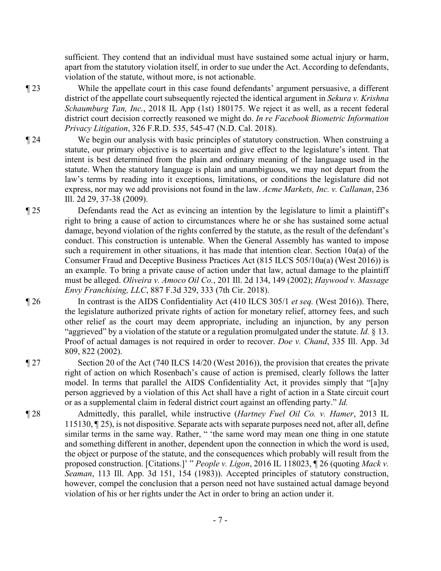sufficient. They contend that an individual must have sustained some actual injury or harm, apart from the statutory violation itself, in order to sue under the Act. According to defendants, violation of the statute, without more, is not actionable.

¶ 23 While the appellate court in this case found defendants' argument persuasive, a different district of the appellate court subsequently rejected the identical argument in *Sekura v. Krishna Schaumburg Tan, Inc.*, 2018 IL App (1st) 180175. We reject it as well, as a recent federal district court decision correctly reasoned we might do. *In re Facebook Biometric Information Privacy Litigation*, 326 F.R.D. 535, 545-47 (N.D. Cal. 2018).

- ¶ 24 We begin our analysis with basic principles of statutory construction. When construing a statute, our primary objective is to ascertain and give effect to the legislature's intent. That intent is best determined from the plain and ordinary meaning of the language used in the statute. When the statutory language is plain and unambiguous, we may not depart from the law's terms by reading into it exceptions, limitations, or conditions the legislature did not express, nor may we add provisions not found in the law. *Acme Markets, Inc. v. Callanan*, 236 Ill. 2d 29, 37-38 (2009).
- ¶ 25 Defendants read the Act as evincing an intention by the legislature to limit a plaintiff's right to bring a cause of action to circumstances where he or she has sustained some actual damage, beyond violation of the rights conferred by the statute, as the result of the defendant's conduct. This construction is untenable. When the General Assembly has wanted to impose such a requirement in other situations, it has made that intention clear. Section 10a(a) of the Consumer Fraud and Deceptive Business Practices Act (815 ILCS 505/10a(a) (West 2016)) is an example. To bring a private cause of action under that law, actual damage to the plaintiff must be alleged. *Oliveira v. Amoco Oil Co.*, 201 Ill. 2d 134, 149 (2002); *Haywood v. Massage Envy Franchising, LLC*, 887 F.3d 329, 333 (7th Cir. 2018).
- ¶ 26 In contrast is the AIDS Confidentiality Act (410 ILCS 305/1 *et seq.* (West 2016)). There, the legislature authorized private rights of action for monetary relief, attorney fees, and such other relief as the court may deem appropriate, including an injunction, by any person "aggrieved" by a violation of the statute or a regulation promulgated under the statute. *Id.* § 13. Proof of actual damages is not required in order to recover. *Doe v. Chand*, 335 Ill. App. 3d 809, 822 (2002).
- ¶ 27 Section 20 of the Act (740 ILCS 14/20 (West 2016)), the provision that creates the private right of action on which Rosenbach's cause of action is premised, clearly follows the latter model. In terms that parallel the AIDS Confidentiality Act, it provides simply that "[a]ny person aggrieved by a violation of this Act shall have a right of action in a State circuit court or as a supplemental claim in federal district court against an offending party." *Id.*
- ¶ 28 Admittedly, this parallel, while instructive (*Hartney Fuel Oil Co. v. Hamer*, 2013 IL 115130, ¶ 25), is not dispositive. Separate acts with separate purposes need not, after all, define similar terms in the same way. Rather, " 'the same word may mean one thing in one statute and something different in another, dependent upon the connection in which the word is used, the object or purpose of the statute, and the consequences which probably will result from the proposed construction. [Citations.]' " *People v. Ligon*, 2016 IL 118023, ¶ 26 (quoting *Mack v. Seaman*, 113 Ill. App. 3d 151, 154 (1983)). Accepted principles of statutory construction, however, compel the conclusion that a person need not have sustained actual damage beyond violation of his or her rights under the Act in order to bring an action under it.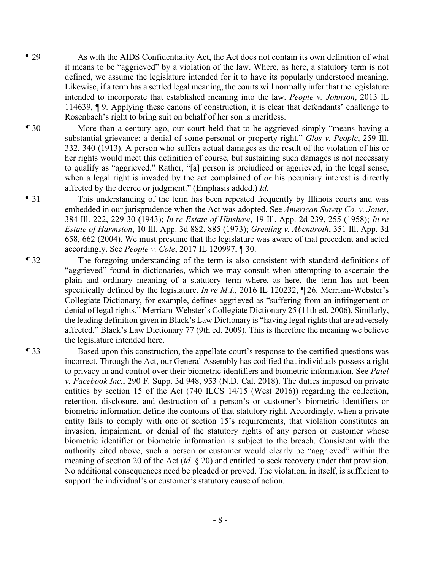- ¶ 29 As with the AIDS Confidentiality Act, the Act does not contain its own definition of what it means to be "aggrieved" by a violation of the law. Where, as here, a statutory term is not defined, we assume the legislature intended for it to have its popularly understood meaning. Likewise, if a term has a settled legal meaning, the courts will normally infer that the legislature intended to incorporate that established meaning into the law. *People v. Johnson*, 2013 IL 114639, ¶ 9. Applying these canons of construction, it is clear that defendants' challenge to Rosenbach's right to bring suit on behalf of her son is meritless.
- ¶ 30 More than a century ago, our court held that to be aggrieved simply "means having a substantial grievance; a denial of some personal or property right." *Glos v. People*, 259 Ill. 332, 340 (1913). A person who suffers actual damages as the result of the violation of his or her rights would meet this definition of course, but sustaining such damages is not necessary to qualify as "aggrieved." Rather, "[a] person is prejudiced or aggrieved, in the legal sense, when a legal right is invaded by the act complained of *or* his pecuniary interest is directly affected by the decree or judgment." (Emphasis added.) *Id.*
- ¶ 31 This understanding of the term has been repeated frequently by Illinois courts and was embedded in our jurisprudence when the Act was adopted. See *American Surety Co. v. Jones*, 384 Ill. 222, 229-30 (1943); *In re Estate of Hinshaw*, 19 Ill. App. 2d 239, 255 (1958); *In re Estate of Harmston*, 10 Ill. App. 3d 882, 885 (1973); *Greeling v. Abendroth*, 351 Ill. App. 3d 658, 662 (2004). We must presume that the legislature was aware of that precedent and acted accordingly. See *People v. Cole*, 2017 IL 120997, ¶ 30.
- ¶ 32 The foregoing understanding of the term is also consistent with standard definitions of "aggrieved" found in dictionaries, which we may consult when attempting to ascertain the plain and ordinary meaning of a statutory term where, as here, the term has not been specifically defined by the legislature. *In re M.I.*, 2016 IL 120232, ¶ 26. Merriam-Webster's Collegiate Dictionary, for example, defines aggrieved as "suffering from an infringement or denial of legal rights." Merriam-Webster's Collegiate Dictionary 25 (11th ed. 2006). Similarly, the leading definition given in Black's Law Dictionary is "having legal rights that are adversely affected." Black's Law Dictionary 77 (9th ed. 2009). This is therefore the meaning we believe the legislature intended here.
- ¶ 33 Based upon this construction, the appellate court's response to the certified questions was incorrect. Through the Act, our General Assembly has codified that individuals possess a right to privacy in and control over their biometric identifiers and biometric information. See *Patel v. Facebook Inc.*, 290 F. Supp. 3d 948, 953 (N.D. Cal. 2018). The duties imposed on private entities by section 15 of the Act (740 ILCS 14/15 (West 2016)) regarding the collection, retention, disclosure, and destruction of a person's or customer's biometric identifiers or biometric information define the contours of that statutory right. Accordingly, when a private entity fails to comply with one of section 15's requirements, that violation constitutes an invasion, impairment, or denial of the statutory rights of any person or customer whose biometric identifier or biometric information is subject to the breach. Consistent with the authority cited above, such a person or customer would clearly be "aggrieved" within the meaning of section 20 of the Act (*id.* § 20) and entitled to seek recovery under that provision. No additional consequences need be pleaded or proved. The violation, in itself, is sufficient to support the individual's or customer's statutory cause of action.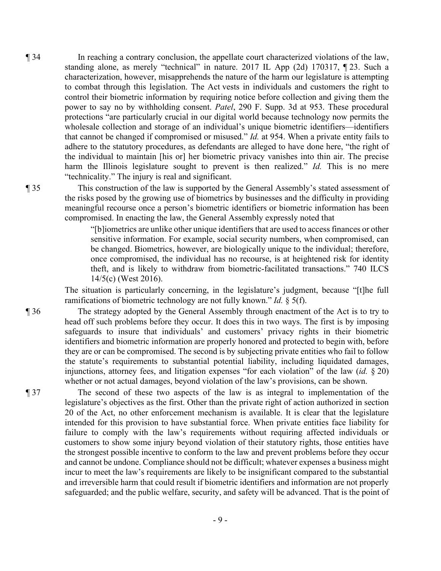¶ 34 In reaching a contrary conclusion, the appellate court characterized violations of the law, standing alone, as merely "technical" in nature. 2017 IL App (2d) 170317, ¶ 23. Such a characterization, however, misapprehends the nature of the harm our legislature is attempting to combat through this legislation. The Act vests in individuals and customers the right to control their biometric information by requiring notice before collection and giving them the power to say no by withholding consent. *Patel*, 290 F. Supp. 3d at 953. These procedural protections "are particularly crucial in our digital world because technology now permits the wholesale collection and storage of an individual's unique biometric identifiers—identifiers that cannot be changed if compromised or misused." *Id.* at 954. When a private entity fails to adhere to the statutory procedures, as defendants are alleged to have done here, "the right of the individual to maintain [his or] her biometric privacy vanishes into thin air. The precise harm the Illinois legislature sought to prevent is then realized." *Id.* This is no mere "technicality." The injury is real and significant.

¶ 35 This construction of the law is supported by the General Assembly's stated assessment of the risks posed by the growing use of biometrics by businesses and the difficulty in providing meaningful recourse once a person's biometric identifiers or biometric information has been compromised. In enacting the law, the General Assembly expressly noted that

> "[b]iometrics are unlike other unique identifiers that are used to access finances or other sensitive information. For example, social security numbers, when compromised, can be changed. Biometrics, however, are biologically unique to the individual; therefore, once compromised, the individual has no recourse, is at heightened risk for identity theft, and is likely to withdraw from biometric-facilitated transactions." 740 ILCS 14/5(c) (West 2016).

The situation is particularly concerning, in the legislature's judgment, because "[t]he full ramifications of biometric technology are not fully known." *Id.* § 5(f).

¶ 36 The strategy adopted by the General Assembly through enactment of the Act is to try to head off such problems before they occur. It does this in two ways. The first is by imposing safeguards to insure that individuals' and customers' privacy rights in their biometric identifiers and biometric information are properly honored and protected to begin with, before they are or can be compromised. The second is by subjecting private entities who fail to follow the statute's requirements to substantial potential liability, including liquidated damages, injunctions, attorney fees, and litigation expenses "for each violation" of the law (*id.* § 20) whether or not actual damages, beyond violation of the law's provisions, can be shown.

¶ 37 The second of these two aspects of the law is as integral to implementation of the legislature's objectives as the first. Other than the private right of action authorized in section 20 of the Act, no other enforcement mechanism is available. It is clear that the legislature intended for this provision to have substantial force. When private entities face liability for failure to comply with the law's requirements without requiring affected individuals or customers to show some injury beyond violation of their statutory rights, those entities have the strongest possible incentive to conform to the law and prevent problems before they occur and cannot be undone. Compliance should not be difficult; whatever expenses a business might incur to meet the law's requirements are likely to be insignificant compared to the substantial and irreversible harm that could result if biometric identifiers and information are not properly safeguarded; and the public welfare, security, and safety will be advanced. That is the point of